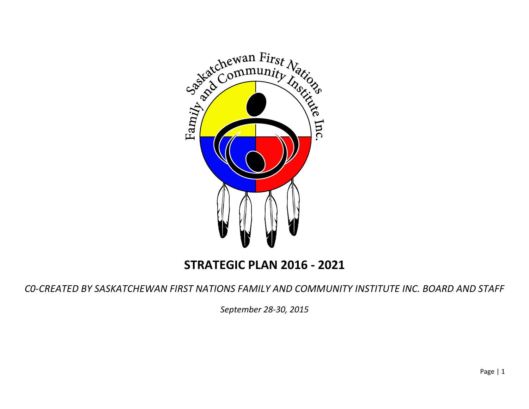

## **STRATEGIC PLAN 2016 - 2021**

*C0-CREATED BY SASKATCHEWAN FIRST NATIONS FAMILY AND COMMUNITY INSTITUTE INC. BOARD AND STAFF*

*September 28-30, 2015*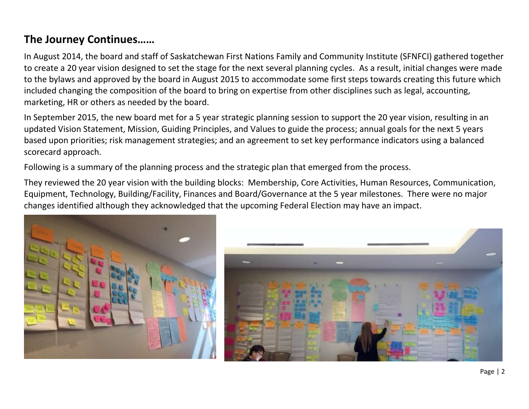## **The Journey Continues……**

In August 2014, the board and staff of Saskatchewan First Nations Family and Community Institute (SFNFCI) gathered together to create a 20 year vision designed to set the stage for the next several planning cycles. As a result, initial changes were made to the bylaws and approved by the board in August 2015 to accommodate some first steps towards creating this future which included changing the composition of the board to bring on expertise from other disciplines such as legal, accounting, marketing, HR or others as needed by the board.

In September 2015, the new board met for a 5 year strategic planning session to support the 20 year vision, resulting in an updated Vision Statement, Mission, Guiding Principles, and Values to guide the process; annual goals for the next 5 years based upon priorities; risk management strategies; and an agreement to set key performance indicators using a balanced scorecard approach.

Following is a summary of the planning process and the strategic plan that emerged from the process.

They reviewed the 20 year vision with the building blocks: Membership, Core Activities, Human Resources, Communication, Equipment, Technology, Building/Facility, Finances and Board/Governance at the 5 year milestones. There were no major changes identified although they acknowledged that the upcoming Federal Election may have an impact.



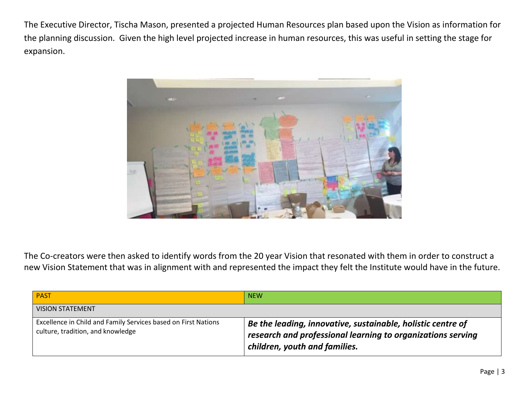The Executive Director, Tischa Mason, presented a projected Human Resources plan based upon the Vision as information for the planning discussion. Given the high level projected increase in human resources, this was useful in setting the stage for expansion.



The Co-creators were then asked to identify words from the 20 year Vision that resonated with them in order to construct a new Vision Statement that was in alignment with and represented the impact they felt the Institute would have in the future.

| <b>PAST</b>                                                                                         | <b>NEW</b>                                                                                                                                                                 |
|-----------------------------------------------------------------------------------------------------|----------------------------------------------------------------------------------------------------------------------------------------------------------------------------|
| <b>VISION STATEMENT</b>                                                                             |                                                                                                                                                                            |
| Excellence in Child and Family Services based on First Nations<br>culture, tradition, and knowledge | $\overline{a}$ Be the leading, innovative, sustainable, holistic centre of<br>research and professional learning to organizations serving<br>children, youth and families. |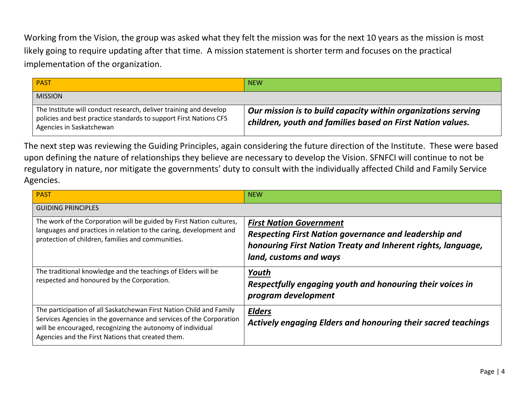Working from the Vision, the group was asked what they felt the mission was for the next 10 years as the mission is most likely going to require updating after that time. A mission statement is shorter term and focuses on the practical implementation of the organization.

| <b>PAST</b>                                                                                                                                                        | <b>NEW</b>                                                                                                                  |
|--------------------------------------------------------------------------------------------------------------------------------------------------------------------|-----------------------------------------------------------------------------------------------------------------------------|
| <b>MISSION</b>                                                                                                                                                     |                                                                                                                             |
| The Institute will conduct research, deliver training and develop<br>policies and best practice standards to support First Nations CFS<br>Agencies in Saskatchewan | Our mission is to build capacity within organizations serving<br>children, youth and families based on First Nation values. |

The next step was reviewing the Guiding Principles, again considering the future direction of the Institute. These were based upon defining the nature of relationships they believe are necessary to develop the Vision. SFNFCI will continue to not be regulatory in nature, nor mitigate the governments' duty to consult with the individually affected Child and Family Service Agencies.

| <b>PAST</b>                                                                                                                                                                                     | <b>NEW</b>                                                    |
|-------------------------------------------------------------------------------------------------------------------------------------------------------------------------------------------------|---------------------------------------------------------------|
| <b>GUIDING PRINCIPLES</b>                                                                                                                                                                       |                                                               |
| The work of the Corporation will be guided by First Nation cultures,<br>languages and practices in relation to the caring, development and<br>protection of children, families and communities. | <b>First Nation Government</b>                                |
|                                                                                                                                                                                                 | Respecting First Nation governance and leadership and         |
|                                                                                                                                                                                                 | honouring First Nation Treaty and Inherent rights, language,  |
|                                                                                                                                                                                                 | land, customs and ways                                        |
| The traditional knowledge and the teachings of Elders will be                                                                                                                                   | Youth                                                         |
| respected and honoured by the Corporation.                                                                                                                                                      | Respectfully engaging youth and honouring their voices in     |
|                                                                                                                                                                                                 | program development                                           |
| The participation of all Saskatchewan First Nation Child and Family                                                                                                                             | <b>Elders</b>                                                 |
| Services Agencies in the governance and services of the Corporation<br>will be encouraged, recognizing the autonomy of individual<br>Agencies and the First Nations that created them.          | Actively engaging Elders and honouring their sacred teachings |
|                                                                                                                                                                                                 |                                                               |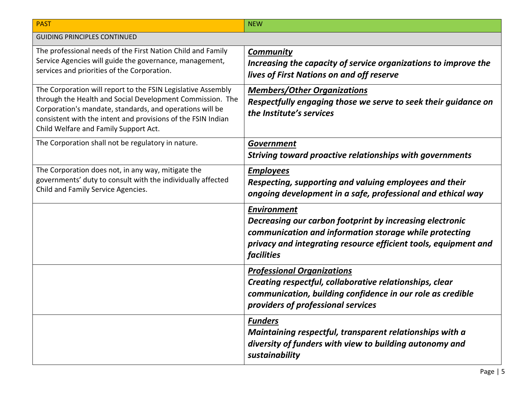| <b>PAST</b>                                                                                                                                                                                                                                                                                    | <b>NEW</b>                                                                                                                                                                                                                |
|------------------------------------------------------------------------------------------------------------------------------------------------------------------------------------------------------------------------------------------------------------------------------------------------|---------------------------------------------------------------------------------------------------------------------------------------------------------------------------------------------------------------------------|
| <b>GUIDING PRINCIPLES CONTINUED</b>                                                                                                                                                                                                                                                            |                                                                                                                                                                                                                           |
| The professional needs of the First Nation Child and Family<br>Service Agencies will guide the governance, management,<br>services and priorities of the Corporation.                                                                                                                          | <b>Community</b><br>Increasing the capacity of service organizations to improve the<br>lives of First Nations on and off reserve                                                                                          |
| The Corporation will report to the FSIN Legislative Assembly<br>through the Health and Social Development Commission. The<br>Corporation's mandate, standards, and operations will be<br>consistent with the intent and provisions of the FSIN Indian<br>Child Welfare and Family Support Act. | <b>Members/Other Organizations</b><br>Respectfully engaging those we serve to seek their guidance on<br>the Institute's services                                                                                          |
| The Corporation shall not be regulatory in nature.                                                                                                                                                                                                                                             | <b>Government</b><br>Striving toward proactive relationships with governments                                                                                                                                             |
| The Corporation does not, in any way, mitigate the<br>governments' duty to consult with the individually affected<br>Child and Family Service Agencies.                                                                                                                                        | <b>Employees</b><br>Respecting, supporting and valuing employees and their<br>ongoing development in a safe, professional and ethical way                                                                                 |
|                                                                                                                                                                                                                                                                                                | <b>Environment</b><br>Decreasing our carbon footprint by increasing electronic<br>communication and information storage while protecting<br>privacy and integrating resource efficient tools, equipment and<br>facilities |
|                                                                                                                                                                                                                                                                                                | <b>Professional Organizations</b><br>Creating respectful, collaborative relationships, clear<br>communication, building confidence in our role as credible<br>providers of professional services                          |
|                                                                                                                                                                                                                                                                                                | <b>Funders</b><br>Maintaining respectful, transparent relationships with a<br>diversity of funders with view to building autonomy and<br>sustainability                                                                   |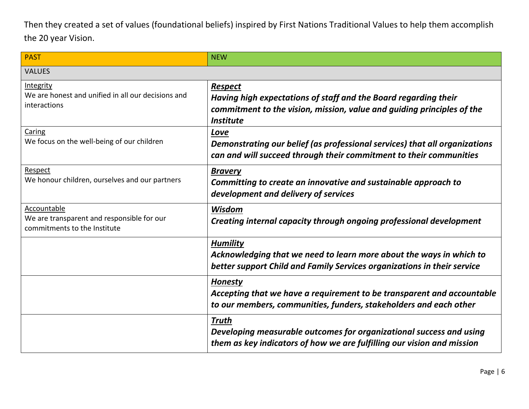Then they created a set of values (foundational beliefs) inspired by First Nations Traditional Values to help them accomplish the 20 year Vision.

| <b>PAST</b>                                                                               | <b>NEW</b>                                                                                                                                                                      |
|-------------------------------------------------------------------------------------------|---------------------------------------------------------------------------------------------------------------------------------------------------------------------------------|
| <b>VALUES</b>                                                                             |                                                                                                                                                                                 |
| Integrity<br>We are honest and unified in all our decisions and<br>interactions           | <b>Respect</b><br>Having high expectations of staff and the Board regarding their<br>commitment to the vision, mission, value and guiding principles of the<br><b>Institute</b> |
| Caring<br>We focus on the well-being of our children                                      | Love<br>Demonstrating our belief (as professional services) that all organizations<br>can and will succeed through their commitment to their communities                        |
| Respect<br>We honour children, ourselves and our partners                                 | <b>Bravery</b><br>Committing to create an innovative and sustainable approach to<br>development and delivery of services                                                        |
| Accountable<br>We are transparent and responsible for our<br>commitments to the Institute | Wisdom<br>Creating internal capacity through ongoing professional development                                                                                                   |
|                                                                                           | <b>Humility</b><br>Acknowledging that we need to learn more about the ways in which to<br>better support Child and Family Services organizations in their service               |
|                                                                                           | <b>Honesty</b><br>Accepting that we have a requirement to be transparent and accountable<br>to our members, communities, funders, stakeholders and each other                   |
|                                                                                           | <b>Truth</b><br>Developing measurable outcomes for organizational success and using<br>them as key indicators of how we are fulfilling our vision and mission                   |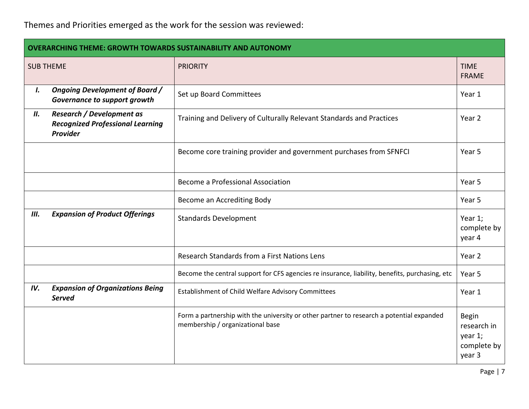## Themes and Priorities emerged as the work for the session was reviewed:

| <b>OVERARCHING THEME: GROWTH TOWARDS SUSTAINABILITY AND AUTONOMY</b> |                                                                                                |                                                                                                                              |                                                          |
|----------------------------------------------------------------------|------------------------------------------------------------------------------------------------|------------------------------------------------------------------------------------------------------------------------------|----------------------------------------------------------|
|                                                                      | <b>SUB THEME</b>                                                                               | <b>PRIORITY</b>                                                                                                              | <b>TIME</b><br><b>FRAME</b>                              |
| I.                                                                   | <b>Ongoing Development of Board /</b><br>Governance to support growth                          | Set up Board Committees                                                                                                      | Year 1                                                   |
| II.                                                                  | <b>Research / Development as</b><br><b>Recognized Professional Learning</b><br><b>Provider</b> | Training and Delivery of Culturally Relevant Standards and Practices                                                         | Year 2                                                   |
|                                                                      |                                                                                                | Become core training provider and government purchases from SFNFCI                                                           | Year 5                                                   |
|                                                                      |                                                                                                | Become a Professional Association                                                                                            | Year 5                                                   |
|                                                                      |                                                                                                | Become an Accrediting Body                                                                                                   | Year 5                                                   |
| Ш.                                                                   | <b>Expansion of Product Offerings</b>                                                          | <b>Standards Development</b>                                                                                                 | Year 1;<br>complete by<br>year 4                         |
|                                                                      |                                                                                                | Research Standards from a First Nations Lens                                                                                 | Year 2                                                   |
|                                                                      |                                                                                                | Become the central support for CFS agencies re insurance, liability, benefits, purchasing, etc                               | Year 5                                                   |
| IV.                                                                  | <b>Expansion of Organizations Being</b><br><b>Served</b>                                       | Establishment of Child Welfare Advisory Committees                                                                           | Year 1                                                   |
|                                                                      |                                                                                                | Form a partnership with the university or other partner to research a potential expanded<br>membership / organizational base | Begin<br>research in<br>year 1;<br>complete by<br>year 3 |